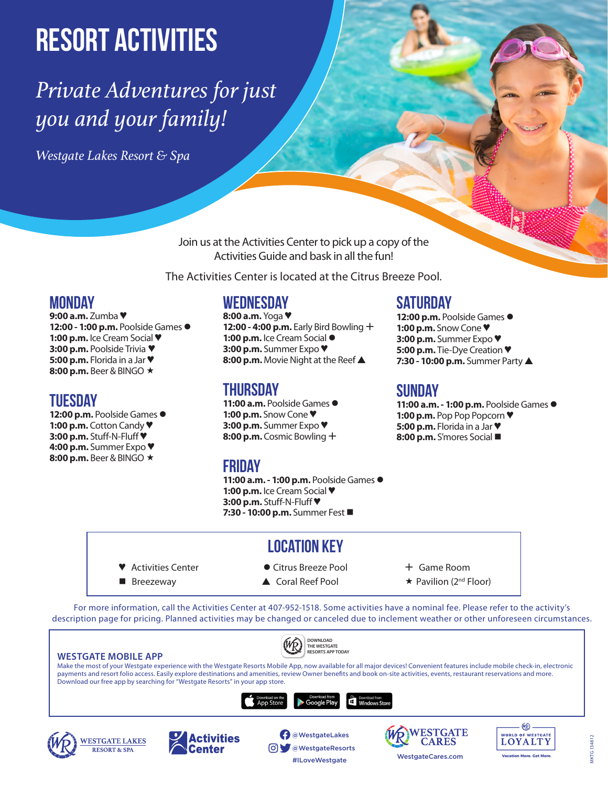# **Resort Activities**

## *Private Adventures for just you and your family!*

*Westgate Lakes Resort & Spa*

Join us at the Activities Center to pick up a copy of the Activities Guide and bask in all the fun!

The Activities Center is located at the Citrus Breeze Pool.

### **Monday**

**9:00 a.m.** Zumba ♥ **12:00 - 1:00 p.m.** Poolside Games **1:00 p.m.** Ice Cream Social ♥ **3:00 p.m.** Poolside Trivia ♥ **5:00 p.m.** Florida in a Jar ♥ 8:00 p.m. Beer & BINGO  $\star$ 

### **Tuesday**

12:00 p.m. Poolside Games  $\bullet$ **1:00 p.m.** Cotton Candy ♥ **3:00 p.m.** Stuff-N-Fluff ♥ **4:00 p.m.** Summer Expo ♥ 8:00 p.m. Beer & BINGO  $\star$ 

### **Wednesday**

**8:00 a.m.** Yoga ♥ **12:00 - 4:00 p.m.** Early Bird Bowling + **1:00 p.m.** Ice Cream Social **3:00 p.m.** Summer Expo ♥ **8:00 p.m.** Movie Night at the Reef ▲

### **Thursday**

**11:00 a.m.** Poolside Games **1:00 p.m.** Snow Cone ♥ **3:00 p.m.** Summer Expo ♥ **8:00 p.m.** Cosmic Bowling

### **Friday**

**11:00 a.m. - 1:00 p.m.** Poolside Games **1:00 p.m.** Ice Cream Social ♥ **3:00 p.m.** Stuff-N-Fluff ♥ **7:30 - 10:00 p.m.** Summer Fest

### **Saturday**

**12:00 p.m.** Poolside Games **1:00 p.m.** Snow Cone ♥ **3:00 p.m.** Summer Expo ♥ **5:00 p.m.** Tie-Dye Creation ♥ **7:30 - 10:00 p.m.** Summer Party ▲

### **Sunday**

**11:00 a.m. - 1:00 p.m.** Poolside Games **1:00 p.m.** Pop Pop Popcorn ♥ **5:00 p.m.** Florida in a Jar ♥ **8:00 p.m.** S'mores Social

### **Location Key**

- -
- Activities Center Citrus Breeze Pool → Game Room
- **Bilance 2** Breezeway **A** Coral Reef Pool **A** Rayllion (2<sup>nd</sup> Floor)
- 

For more information, call the Activities Center at 407-952-1518. Some activities have a nominal fee. Please refer to the activity's description page for pricing. Planned activities may be changed or canceled due to inclement weather or other unforeseen circumstances.

| <b>DOWNLOAD</b><br>THE WESTGATE<br><b>RESORTS APP TODAY</b><br><b>WESTGATE MOBILE APP</b><br>Make the most of your Westgate experience with the Westgate Resorts Mobile App, now available for all major devices! Convenient features include mobile check-in, electronic<br>payments and resort folio access. Easily explore destinations and amenities, review Owner benefits and book on-site activities, events, restaurant reservations and more.<br>Download our free app by searching for "Westgate Resorts" in your app store.<br>Download from<br>Windows Store<br>Jownload on the |                             |                                                                                                                |                                |                                                                              |
|---------------------------------------------------------------------------------------------------------------------------------------------------------------------------------------------------------------------------------------------------------------------------------------------------------------------------------------------------------------------------------------------------------------------------------------------------------------------------------------------------------------------------------------------------------------------------------------------|-----------------------------|----------------------------------------------------------------------------------------------------------------|--------------------------------|------------------------------------------------------------------------------|
| <b>WESTGATE LAKES</b><br><b>RESORT &amp; SPA</b>                                                                                                                                                                                                                                                                                                                                                                                                                                                                                                                                            | <b>Activities</b><br>Center | <b>Google Play</b><br><b>App Store</b><br><b>O</b> WestgateLakes<br><b>O</b> WestgateResorts<br>#ILoveWestgate | RWESTGATE<br>WestgateCares.com | <b>WORLD OF WESTGATE</b><br><b>OYALTY</b><br><b>Vacation More, Get More,</b> |